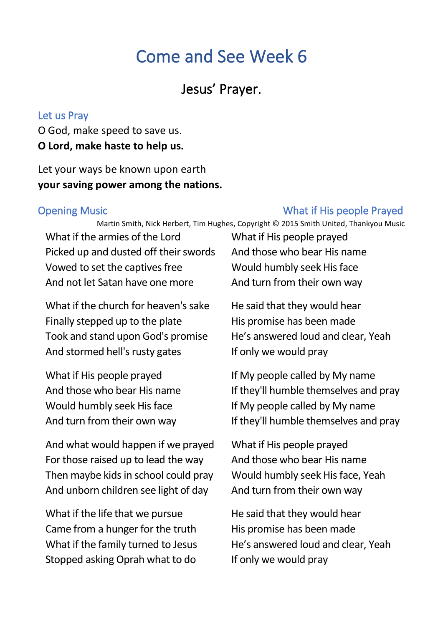# Come and See Week 6

# Jesus' Prayer.

#### Let us Pray

O God, make speed to save us. **O Lord, make haste to help us.**

Let your ways be known upon earth **your saving power among the nations.**

#### Opening Music What if His people Prayed

Martin Smith, Nick Herbert, Tim Hughes, Copyright © 2015 Smith United, Thankyou Music

What if the armies of the Lord Picked up and dusted off their swords Vowed to set the captives free And not let Satan have one more

What if the church for heaven's sake Finally stepped up to the plate Took and stand upon God's promise And stormed hell's rusty gates

What if His people prayed And those who bear His name Would humbly seek His face And turn from their own way

And what would happen if we prayed For those raised up to lead the way Then maybe kids in school could pray And unborn children see light of day

What if the life that we pursue Came from a hunger for the truth What if the family turned to Jesus Stopped asking Oprah what to do

What if His people prayed And those who bear His name Would humbly seek His face And turn from their own way

He said that they would hear His promise has been made He's answered loud and clear, Yeah If only we would pray

If My people called by My name If they'll humble themselves and pray If My people called by My name If they'll humble themselves and pray

What if His people prayed And those who bear His name Would humbly seek His face, Yeah And turn from their own way

He said that they would hear His promise has been made He's answered loud and clear, Yeah If only we would pray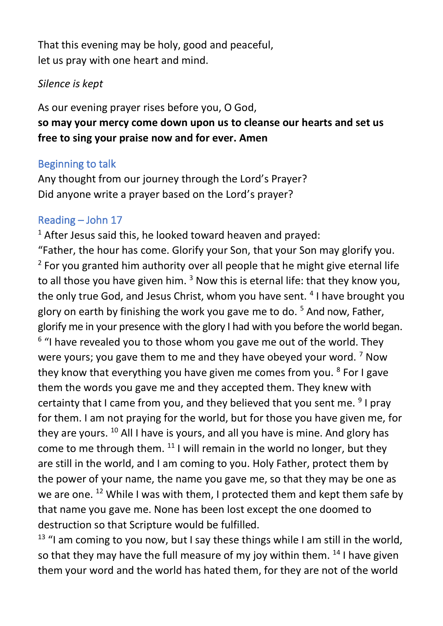That this evening may be holy, good and peaceful, let us pray with one heart and mind.

#### *Silence is kept*

As our evening prayer rises before you, O God, **so may your mercy come down upon us to cleanse our hearts and set us free to sing your praise now and for ever. Amen**

#### Beginning to talk

Any thought from our journey through the Lord's Prayer? Did anyone write a prayer based on the Lord's prayer?

#### Reading – John 17

 $1$  After Jesus said this, he looked toward heaven and prayed: "Father, the hour has come. Glorify your Son, that your Son may glorify you.  $2$  For you granted him authority over all people that he might give eternal life to all those you have given him.  $3$  Now this is eternal life: that they know you, the only true God, and Jesus Christ, whom you have sent. <sup>4</sup> I have brought you glory on earth by finishing the work you gave me to do. <sup>5</sup> And now, Father, glorify me in your presence with the glory I had with you before the world began. <sup>6</sup> "I have revealed you to those whom you gave me out of the world. They were yours; you gave them to me and they have obeyed your word.  $7$  Now they know that everything you have given me comes from you. <sup>8</sup> For I gave them the words you gave me and they accepted them. They knew with certainty that I came from you, and they believed that you sent me. <sup>9</sup> I pray for them. I am not praying for the world, but for those you have given me, for they are yours. <sup>10</sup> All I have is yours, and all you have is mine. And glory has come to me through them. <sup>11</sup> I will remain in the world no longer, but they are still in the world, and I am coming to you. Holy Father, protect them by the power of your name, the name you gave me, so that they may be one as we are one. <sup>12</sup> While I was with them, I protected them and kept them safe by that name you gave me. None has been lost except the one doomed to destruction so that Scripture would be fulfilled.

 $13$  "I am coming to you now, but I say these things while I am still in the world, so that they may have the full measure of my joy within them.  $^{14}$  I have given them your word and the world has hated them, for they are not of the world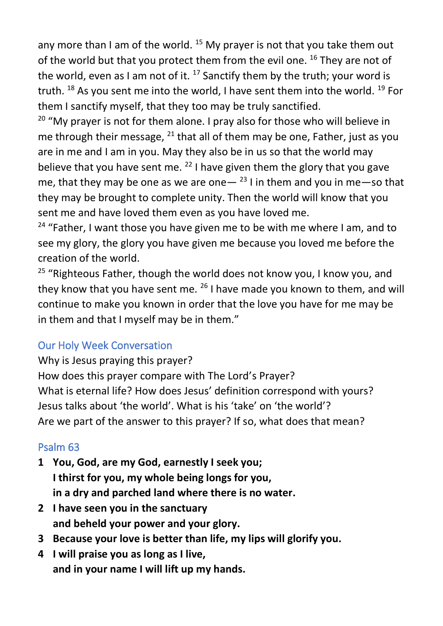any more than I am of the world.  $^{15}$  My prayer is not that you take them out of the world but that you protect them from the evil one. <sup>16</sup> They are not of the world, even as I am not of it.  $^{17}$  Sanctify them by the truth; your word is truth.  $^{18}$  As you sent me into the world, I have sent them into the world.  $^{19}$  For them I sanctify myself, that they too may be truly sanctified.

 $20$  "My prayer is not for them alone. I pray also for those who will believe in me through their message,  $^{21}$  that all of them may be one, Father, just as you are in me and I am in you. May they also be in us so that the world may believe that you have sent me.  $^{22}$  I have given them the glory that you gave me, that they may be one as we are one  $-$  <sup>23</sup> I in them and you in me —so that they may be brought to complete unity. Then the world will know that you sent me and have loved them even as you have loved me.

<sup>24</sup> "Father, I want those you have given me to be with me where I am, and to see my glory, the glory you have given me because you loved me before the creation of the world.

<sup>25</sup> "Righteous Father, though the world does not know you, I know you, and they know that you have sent me. <sup>26</sup> I have made you known to them, and will continue to make you known in order that the love you have for me may be in them and that I myself may be in them."

## Our Holy Week Conversation

Why is Jesus praying this prayer? How does this prayer compare with The Lord's Prayer? What is eternal life? How does Jesus' definition correspond with yours? Jesus talks about 'the world'. What is his 'take' on 'the world'? Are we part of the answer to this prayer? If so, what does that mean?

## Psalm 63

- **1 You, God, are my God, earnestly I seek you; I thirst for you, my whole being longs for you, in a dry and parched land where there is no water.**
- **2 I have seen you in the sanctuary and beheld your power and your glory.**
- **3 Because your love is better than life, my lips will glorify you.**
- **4 I will praise you as long as I live, and in your name I will lift up my hands.**